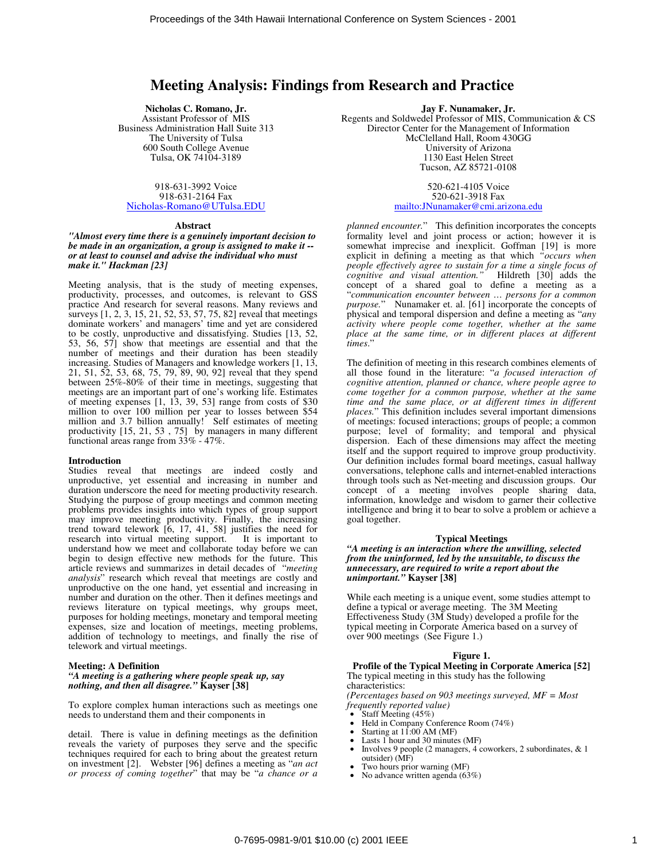# **Meeting Analysis: Findings from Research and Practice**

**Nicholas C. Romano, Jr.**  Assistant Professor of MIS Business Administration Hall Suite 313 The University of Tulsa 600 South College Avenue Tulsa, OK 74104-3189

918-631-3992 Voice 918-631-2164 Fax Nicholas-Romano@UTulsa.EDU

#### **Abstract**

*"Almost every time there is a genuinely important decision to be made in an organization, a group is assigned to make it - or at least to counsel and advise the individual who must make it." Hackman [23]* 

Meeting analysis, that is the study of meeting expenses, productivity, processes, and outcomes, is relevant to GSS practice And research for several reasons. Many reviews and surveys [1, 2, 3, 15, 21, 52, 53, 57, 75, 82] reveal that meetings dominate workers' and managers' time and yet are considered to be costly, unproductive and dissatisfying. Studies [13, 52, 53, 56, 57] show that meetings are essential and that the number of meetings and their duration has been steadily increasing. Studies of Managers and knowledge workers [1, 13, 21, 51, 52, 53, 68, 75, 79, 89, 90, 92] reveal that they spend between 25%-80% of their time in meetings, suggesting that meetings are an important part of one's working life. Estimates of meeting expenses  $[1, 13, 39, 53]$  range from costs of \$30 million to over 100 million per year to losses between \$54 million and 3.7 billion annually! Self estimates of meeting productivity [15, 21, 53 , 75] by managers in many different functional areas range from 33% - 47%.

#### **Introduction**

Studies reveal that meetings are indeed costly and unproductive, yet essential and increasing in number and duration underscore the need for meeting productivity research. Studying the purpose of group meetings and common meeting problems provides insights into which types of group support may improve meeting productivity. Finally, the increasing trend toward telework [6, 17, 41, 58] justifies the need for research into virtual meeting support. It is important to research into virtual meeting support. understand how we meet and collaborate today before we can begin to design effective new methods for the future. This article reviews and summarizes in detail decades of "*meeting analysis*" research which reveal that meetings are costly and unproductive on the one hand, yet essential and increasing in number and duration on the other. Then it defines meetings and reviews literature on typical meetings, why groups meet, purposes for holding meetings, monetary and temporal meeting expenses, size and location of meetings, meeting problems, addition of technology to meetings, and finally the rise of telework and virtual meetings.

### **Meeting: A Definition**

### *"A meeting is a gathering where people speak up, say nothing, and then all disagree."* **Kayser [38]**

To explore complex human interactions such as meetings one needs to understand them and their components in

detail. There is value in defining meetings as the definition reveals the variety of purposes they serve and the specific techniques required for each to bring about the greatest return on investment [2]. Webster [96] defines a meeting as "*an act or process of coming together*" that may be "*a chance or a*  **Jay F. Nunamaker, Jr.** 

Regents and Soldwedel Professor of MIS, Communication & CS Director Center for the Management of Information McClelland Hall, Room 430GG University of Arizona 1130 East Helen Street Tucson, AZ 85721-0108

> 520-621-4105 Voice 520-621-3918 Fax mailto:JNunamaker@cmi.arizona.edu

*planned encounter.*" This definition incorporates the concepts formality level and joint process or action; however it is somewhat imprecise and inexplicit. Goffman [19] is more explicit in defining a meeting as that which *"occurs when people effectively agree to sustain for a time a single focus of cognitive and visual attention.*" concept of a shared goal to define a meeting as a "*communication encounter between … persons for a common purpose.*" Nunamaker et. al. [61] incorporate the concepts of physical and temporal dispersion and define a meeting as "*any activity where people come together, whether at the same place at the same time, or in different places at different times*."

The definition of meeting in this research combines elements of all those found in the literature: "*a focused interaction of cognitive attention, planned or chance, where people agree to come together for a common purpose, whether at the same time and the same place, or at different times in different places.*" This definition includes several important dimensions of meetings: focused interactions; groups of people; a common purpose; level of formality; and temporal and physical dispersion. Each of these dimensions may affect the meeting itself and the support required to improve group productivity. Our definition includes formal board meetings, casual hallway conversations, telephone calls and internet-enabled interactions through tools such as Net-meeting and discussion groups. Our concept of a meeting involves people sharing data, information, knowledge and wisdom to garner their collective intelligence and bring it to bear to solve a problem or achieve a goal together.

### **Typical Meetings**

*"A meeting is an interaction where the unwilling, selected from the uninformed, led by the unsuitable, to discuss the unnecessary, are required to write a report about the unimportant."* **Kayser [38]** 

While each meeting is a unique event, some studies attempt to define a typical or average meeting. The 3M Meeting Effectiveness Study (3M Study) developed a profile for the typical meeting in Corporate America based on a survey of over 900 meetings (See Figure 1.)

### **Figure 1.**

**Profile of the Typical Meeting in Corporate America [52]**  The typical meeting in this study has the following characteristics:

*(Percentages based on 903 meetings surveyed, MF = Most frequently reported value)*

- Staff Meeting (45%)<br>• Held in Company Conference Room (74%)
- Starting at 11:00 AM (MF)
- Lasts 1 hour and 30 minutes (MF)<br>• Involves 9 neonle (2 managers, 4 c
- Involves 9 people (2 managers, 4 coworkers, 2 subordinates, & 1 outsider) (MF)
- Two hours prior warning (MF)
- No advance written agenda (63%)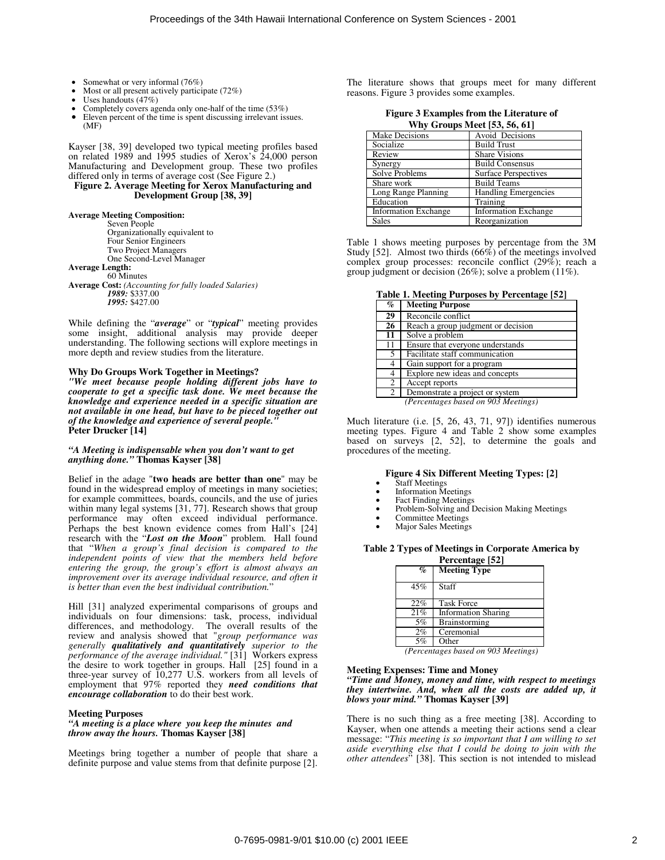- Somewhat or very informal (76%)
- Most or all present actively participate (72%)<br>Uses handouts  $(47%)$
- 
- Completely covers agenda only one-half of the time (53%)
- Eleven percent of the time is spent discussing irrelevant issues. (MF)

Kayser [38, 39] developed two typical meeting profiles based on related 1989 and 1995 studies of Xerox's 24,000 person Manufacturing and Development group. These two profiles differed only in terms of average cost (See Figure 2.)

**Figure 2. Average Meeting for Xerox Manufacturing and Development Group [38, 39]** 

**Average Meeting Composition:** 

Seven People Organizationally equivalent to Four Senior Engineers Two Project Managers One Second-Level Manager **Average Length:**  60 Minutes

**Average Cost:** *(Accounting for fully loaded Salaries) 1989:* \$337.00 *1995:* \$427.00

While defining the "*average*" or "*typical*" meeting provides some insight, additional analysis may provide deeper understanding. The following sections will explore meetings in more depth and review studies from the literature.

#### **Why Do Groups Work Together in Meetings?**

*"We meet because people holding different jobs have to cooperate to get a specific task done. We meet because the knowledge and experience needed in a specific situation are not available in one head, but have to be pieced together out of the knowledge and experience of several people."*  **Peter Drucker [14]** 

*"A Meeting is indispensable when you don't want to get anything done."* **Thomas Kayser [38]** 

Belief in the adage "**two heads are better than one**" may be found in the widespread employ of meetings in many societies; for example committees, boards, councils, and the use of juries within many legal systems [31, 77]. Research shows that group performance may often exceed individual performance. Perhaps the best known evidence comes from Hall's [24] research with the "*Lost on the Moon*" problem. Hall found that "*When a group's final decision is compared to the independent points of view that the members held before entering the group, the group's effort is almost always an improvement over its average individual resource, and often it is better than even the best individual contribution.*"

Hill [31] analyzed experimental comparisons of groups and individuals on four dimensions: task, process, individual differences, and methodology. The overall results of the review and analysis showed that "*group performance was generally qualitatively and quantitatively superior to the performance of the average individual."* [31] Workers express the desire to work together in groups. Hall [25] found in a three-year survey of 10,277 U.S. workers from all levels of employment that 97% reported they *need conditions that encourage collaboration* to do their best work.

#### **Meeting Purposes**

### *"A meeting is a place where you keep the minutes and throw away the hours.* **Thomas Kayser [38]**

Meetings bring together a number of people that share a definite purpose and value stems from that definite purpose [2]. The literature shows that groups meet for many different reasons. Figure 3 provides some examples.

| Figure 3 Examples from the Literature of |  |
|------------------------------------------|--|
| <b>Why Groups Meet [53, 56, 61]</b>      |  |

| <b>Make Decisions</b>       | Avoid Decisions             |
|-----------------------------|-----------------------------|
| Socialize                   | <b>Build Trust</b>          |
| Review                      | <b>Share Visions</b>        |
| Synergy                     | <b>Build Consensus</b>      |
| <b>Solve Problems</b>       | <b>Surface Perspectives</b> |
| Share work                  | <b>Build Teams</b>          |
| Long Range Planning         | <b>Handling Emergencies</b> |
| Education                   | Training                    |
| <b>Information Exchange</b> | <b>Information Exchange</b> |
| <b>Sales</b>                | Reorganization              |

Table 1 shows meeting purposes by percentage from the 3M Study [52]. Almost two thirds  $(66\%)$  of the meetings involved complex group processes: reconcile conflict (29%); reach a group judgment or decision (26%); solve a problem (11%).

| Table 1. Meeting Purposes by Percentage [52] |  |
|----------------------------------------------|--|
|----------------------------------------------|--|

| $\%$            | <b>Meeting Purpose</b>                |
|-----------------|---------------------------------------|
| 29              | Reconcile conflict                    |
| $\overline{26}$ | Reach a group judgment or decision    |
| 11              | Solve a problem                       |
| 11              | Ensure that everyone understands      |
| 5               | Facilitate staff communication        |
| 4               | Gain support for a program            |
| 4               | Explore new ideas and concepts        |
| 2               | Accept reports                        |
| 2               | Demonstrate a project or system       |
|                 | $(Douceutase$ based an $002$ Meetings |

*(Percentages based on 903 Meetings)* 

Much literature (i.e. [5, 26, 43, 71, 97]) identifies numerous meeting types. Figure 4 and Table 2 show some examples based on surveys  $[2, 52]$ , to determine the goals and procedures of the meeting.

### **Figure 4 Six Different Meeting Types: [2]**

- Staff Meetings<br>Information Meetings
- 
- Information Meetings<br>• Fact Finding Meetings
- Problem-Solving and Decision Making Meetings<br>• Committee Meetings
- Committee Meetings
- Major Sales Meetings

### **Table 2 Types of Meetings in Corporate America by**

| Percentage [52]                  |                            |  |
|----------------------------------|----------------------------|--|
| $\%$                             | <b>Meeting Type</b>        |  |
| 45%                              | Staff                      |  |
| 22%                              | <b>Task Force</b>          |  |
| 21%                              | <b>Information Sharing</b> |  |
| 5%                               | Brainstorming              |  |
| 2%                               | Ceremonial                 |  |
| 5%                               | Other                      |  |
| $\sqrt{n}$ $\sqrt{n}$ $\sqrt{n}$ | 00211                      |  |

*(Percentages based on 903 Meetings)* 

#### **Meeting Expenses: Time and Money**

*"Time and Money, money and time, with respect to meetings they intertwine. And, when all the costs are added up, it blows your mind."* **Thomas Kayser [39]** 

There is no such thing as a free meeting [38]. According to Kayser, when one attends a meeting their actions send a clear message: "*This meeting is so important that I am willing to set aside everything else that I could be doing to join with the other attendees*" [38]. This section is not intended to mislead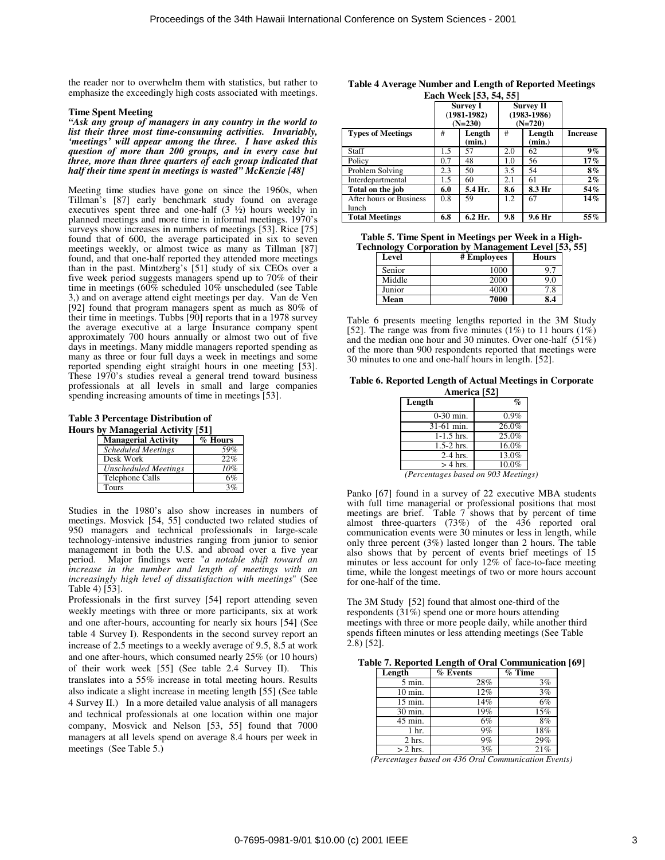the reader nor to overwhelm them with statistics, but rather to emphasize the exceedingly high costs associated with meetings.

### **Time Spent Meeting**

*"Ask any group of managers in any country in the world to list their three most time-consuming activities. Invariably, 'meetings' will appear among the three. I have asked this question of more than 200 groups, and in every case but three, more than three quarters of each group indicated that half their time spent in meetings is wasted" McKenzie [48]* 

Meeting time studies have gone on since the 1960s, when Tillman's [87] early benchmark study found on average executives spent three and one-half  $(3 \frac{1}{2})$  hours weekly in planned meetings and more time in informal meetings. 1970's surveys show increases in numbers of meetings [53]. Rice [75] found that of 600, the average participated in six to seven meetings weekly, or almost twice as many as Tillman [87] found, and that one-half reported they attended more meetings than in the past. Mintzberg's [51] study of six CEOs over a five week period suggests managers spend up to 70% of their time in meetings (60% scheduled 10% unscheduled (see Table 3,) and on average attend eight meetings per day. Van de Ven [92] found that program managers spent as much as 80% of their time in meetings. Tubbs [90] reports that in a 1978 survey the average executive at a large Insurance company spent approximately 700 hours annually or almost two out of five days in meetings. Many middle managers reported spending as many as three or four full days a week in meetings and some reported spending eight straight hours in one meeting [53]. These 1970's studies reveal a general trend toward business professionals at all levels in small and large companies spending increasing amounts of time in meetings [53].

**Table 3 Percentage Distribution of Hours by Managerial Activity [51]** 

| <b>Managerial Activity</b>  | % Hours |
|-----------------------------|---------|
| <b>Scheduled Meetings</b>   | 59%     |
| Desk Work                   | 22%     |
| <b>Unscheduled Meetings</b> | 10%     |
| Telephone Calls             | 6%      |
| Tours                       | 3%      |

Studies in the 1980's also show increases in numbers of meetings. Mosvick [54, 55] conducted two related studies of 950 managers and technical professionals in large-scale technology-intensive industries ranging from junior to senior management in both the U.S. and abroad over a five year period. Major findings were "*a notable shift toward an increase in the number and length of meetings with an increasingly high level of dissatisfaction with meetings*" (See Table 4) [53].

Professionals in the first survey [54] report attending seven weekly meetings with three or more participants, six at work and one after-hours, accounting for nearly six hours [54] (See table 4 Survey I). Respondents in the second survey report an increase of 2.5 meetings to a weekly average of 9.5, 8.5 at work and one after-hours, which consumed nearly 25% (or 10 hours) of their work week [55] (See table 2.4 Survey II). This translates into a 55% increase in total meeting hours. Results also indicate a slight increase in meeting length [55] (See table 4 Survey II.) In a more detailed value analysis of all managers and technical professionals at one location within one major company, Mosvick and Nelson [53, 55] found that 7000 managers at all levels spend on average 8.4 hours per week in meetings (See Table 5.)

| Table 4 Average Number and Length of Reported Meetings |  |
|--------------------------------------------------------|--|
| Each Week [53, 54, 55]                                 |  |

|                          |     | <b>Survey I</b><br>$(1981 - 1982)$<br>$(N=230)$ |     | Survey II<br>$(1983 - 1986)$<br>$(N=720)$ |                 |
|--------------------------|-----|-------------------------------------------------|-----|-------------------------------------------|-----------------|
| <b>Types of Meetings</b> | #   | Length<br>(min.)                                | #   | Length<br>(min.)                          | <b>Increase</b> |
| Staff                    | 1.5 | 57                                              | 2.0 | 62                                        | $9\%$           |
| Policy                   | 0.7 | 48                                              | 1.0 | 56                                        | $17\%$          |
| Problem Solving          | 2.3 | 50                                              | 3.5 | 54                                        | $8\%$           |
| Interdepartmental        | 1.5 | 60                                              | 2.1 | 61                                        | $2\%$           |
| Total on the job         | 6.0 | 5.4 Hr.                                         | 8.6 | 8.3 Hr                                    | 54%             |
| After hours or Business  | 0.8 | 59                                              | 1.2 | 67                                        | 14%             |
| lunch                    |     |                                                 |     |                                           |                 |
| <b>Total Meetings</b>    | 6.8 | 6.2 Hr.                                         | 9.8 | 9.6 Hr                                    | 55%             |

**Table 5. Time Spent in Meetings per Week in a High-Technology Corporation by Management Level [53, 55]** 

| $-24$<br>Level | # Employees | <b>Hours</b> |
|----------------|-------------|--------------|
| Senior         | .000        |              |
| Middle         | 2000        |              |
| Junior         | 4000        | 7.8          |
| Mean           | 7000        |              |

Table 6 presents meeting lengths reported in the 3M Study [52]. The range was from five minutes (1%) to 11 hours (1%) and the median one hour and 30 minutes. Over one-half (51%) of the more than 900 respondents reported that meetings were 30 minutes to one and one-half hours in length. [52].

**Table 6. Reported Length of Actual Meetings in Corporate America [52]** 

| Length         | $\%$                       |  |
|----------------|----------------------------|--|
| $0-30$ min.    | 0.9%                       |  |
| 31-61 min.     | 26.0%                      |  |
| $1-1.5$ hrs.   | 25.0%                      |  |
| $1.5 - 2$ hrs. | 16.0%                      |  |
| $2-4$ hrs.     | 13.0%                      |  |
| $>$ 4 hrs.     | 10.0%                      |  |
| $\sim$         | $\wedge$ $\wedge$ $\wedge$ |  |

*(Percentages based on 903 Meetings)* 

Panko [67] found in a survey of 22 executive MBA students with full time managerial or professional positions that most meetings are brief. Table 7 shows that by percent of time almost three-quarters (73%) of the 436 reported oral communication events were 30 minutes or less in length, while only three percent (3%) lasted longer than 2 hours. The table also shows that by percent of events brief meetings of 15 minutes or less account for only 12% of face-to-face meeting time, while the longest meetings of two or more hours account for one-half of the time.

The 3M Study [52] found that almost one-third of the respondents (31%) spend one or more hours attending meetings with three or more people daily, while another third spends fifteen minutes or less attending meetings (See Table  $(2.8)$  [52].

**Table 7. Reported Length of Oral Communication [69]** 

| Length     | % Events | $%$ Time |
|------------|----------|----------|
| 5 min.     | 28%      | 3%       |
| $10$ min.  | 12%      | 3%       |
| $15$ min.  | 14%      | 6%       |
| 30 min.    | 19%      | 15%      |
| 45 min.    | 6%       | 8%       |
| 1 hr.      | 9%       | 18%      |
| 2 hrs.     | 9%       | 29%      |
| $> 2$ hrs. | 3%       | 21%      |

*(Percentages based on 436 Oral Communication Events)*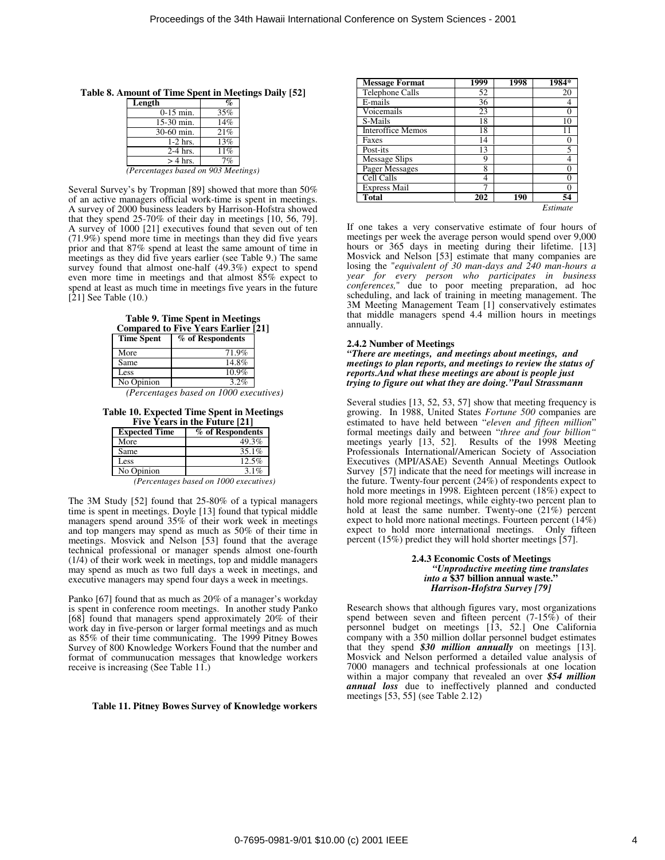| Table 8. Amount of Time Spent in Meetings Daily [52] |  |  |
|------------------------------------------------------|--|--|
|------------------------------------------------------|--|--|

| Length                              | $\%$ |  |
|-------------------------------------|------|--|
| $0-15$ min.                         | 35%  |  |
| 15-30 min.                          | 14%  |  |
| 30-60 min.                          | 21%  |  |
| $1-2$ hrs.                          | 13%  |  |
| $2-4$ hrs.                          | 11%  |  |
| $>$ 4 hrs.                          | 7%   |  |
| (Percentages based on 903 Meetings) |      |  |

Several Survey's by Tropman [89] showed that more than 50% of an active managers official work-time is spent in meetings. A survey of 2000 business leaders by Harrison-Hofstra showed that they spend 25-70% of their day in meetings [10, 56, 79]. A survey of 1000 [21] executives found that seven out of ten (71.9%) spend more time in meetings than they did five years prior and that 87% spend at least the same amount of time in meetings as they did five years earlier (see Table 9.) The same survey found that almost one-half (49.3%) expect to spend even more time in meetings and that almost 85% expect to spend at least as much time in meetings five years in the future [21] See Table (10.)

**Table 9. Time Spent in Meetings Compared to Five Years Earlier [21]** 

| <b>Time Spent</b> | % of Respondents |
|-------------------|------------------|
| More              | 71.9%            |
| Same              | 14.8%            |
| Less              | 10.9%            |
| No Opinion        | 3.2%             |
|                   |                  |

*(Percentages based on 1000 executives)* 

**Table 10. Expected Time Spent in Meetings Five Years in the Future [21]** 

| <b>Expected Time</b> | % of Respondents |
|----------------------|------------------|
| More                 | 49.3%            |
| Same                 | $35.1\%$         |
| Less                 | 12.5%            |
| No Opinion           | $3.1\%$          |

*(Percentages based on 1000 executives)* 

The 3M Study [52] found that 25-80% of a typical managers time is spent in meetings. Doyle [13] found that typical middle managers spend around 35% of their work week in meetings and top mangers may spend as much as 50% of their time in meetings. Mosvick and Nelson [53] found that the average technical professional or manager spends almost one-fourth (1/4) of their work week in meetings, top and middle managers may spend as much as two full days a week in meetings, and executive managers may spend four days a week in meetings.

Panko [67] found that as much as 20% of a manager's workday is spent in conference room meetings. In another study Panko [68] found that managers spend approximately 20% of their work day in five-person or larger formal meetings and as much as 85% of their time communicating. The 1999 Pitney Bowes Survey of 800 Knowledge Workers Found that the number and format of communucation messages that knowledge workers receive is increasing (See Table 11.)

#### **Table 11. Pitney Bowes Survey of Knowledge workers**

| <b>Message Format</b>    | 1999 | 1998 | 1984*    |
|--------------------------|------|------|----------|
| <b>Telephone Calls</b>   | 52   |      | 20       |
| E-mails                  | 36   |      | 4        |
| Voicemails               | 23   |      |          |
| S-Mails                  | 18   |      | 10       |
| <b>Interoffice Memos</b> | 18   |      |          |
| Faxes                    | 14   |      |          |
| Post-its                 | 13   |      | 5        |
| <b>Message Slips</b>     | 9    |      | 4        |
| Pager Messages           | 8    |      |          |
| Cell Calls               | 4    |      |          |
| Express Mail             |      |      | 0        |
| <b>Total</b>             | 202  | 190  | 54       |
|                          |      |      | Estimate |

If one takes a very conservative estimate of four hours of meetings per week the average person would spend over 9,000 hours or 365 days in meeting during their lifetime. [13] Mosvick and Nelson [53] estimate that many companies are losing the "*equivalent of 30 man-days and 240 man-hours a year for every person who participates in business conferences,*" due to poor meeting preparation, ad hoc scheduling, and lack of training in meeting management. The 3M Meeting Management Team [1] conservatively estimates that middle managers spend 4.4 million hours in meetings annually.

### **2.4.2 Number of Meetings**

*"There are meetings, and meetings about meetings, and meetings to plan reports, and meetings to review the status of reports.And what these meetings are about is people just trying to figure out what they are doing."Paul Strassmann* 

Several studies [13, 52, 53, 57] show that meeting frequency is growing. In 1988, United States *Fortune 500* companies are estimated to have held between "*eleven and fifteen million*" formal meetings daily and between "*three and four billion"*  meetings yearly [13, 52]. Results of the 1998 Meeting Professionals International/American Society of Association Executives (MPI/ASAE) Seventh Annual Meetings Outlook Survey [57] indicate that the need for meetings will increase in the future. Twenty-four percent (24%) of respondents expect to hold more meetings in 1998. Eighteen percent (18%) expect to hold more regional meetings, while eighty-two percent plan to hold at least the same number. Twenty-one (21%) percent expect to hold more national meetings. Fourteen percent (14%) expect to hold more international meetings. Only fifteen percent (15%) predict they will hold shorter meetings [57].

#### **2.4.3 Economic Costs of Meetings**   *"Unproductive meeting time translates into a* **\$37 billion annual waste."** *Harrison-Hofstra Survey [79]*

Research shows that although figures vary, most organizations spend between seven and fifteen percent  $(7-15\%)$  of their personnel budget on meetings [13, 52.] One California company with a 350 million dollar personnel budget estimates that they spend *\$30 million annually* on meetings [13]. Mosvick and Nelson performed a detailed value analysis of 7000 managers and technical professionals at one location within a major company that revealed an over *\$54 million annual loss* due to ineffectively planned and conducted meetings [53, 55] (see Table 2.12)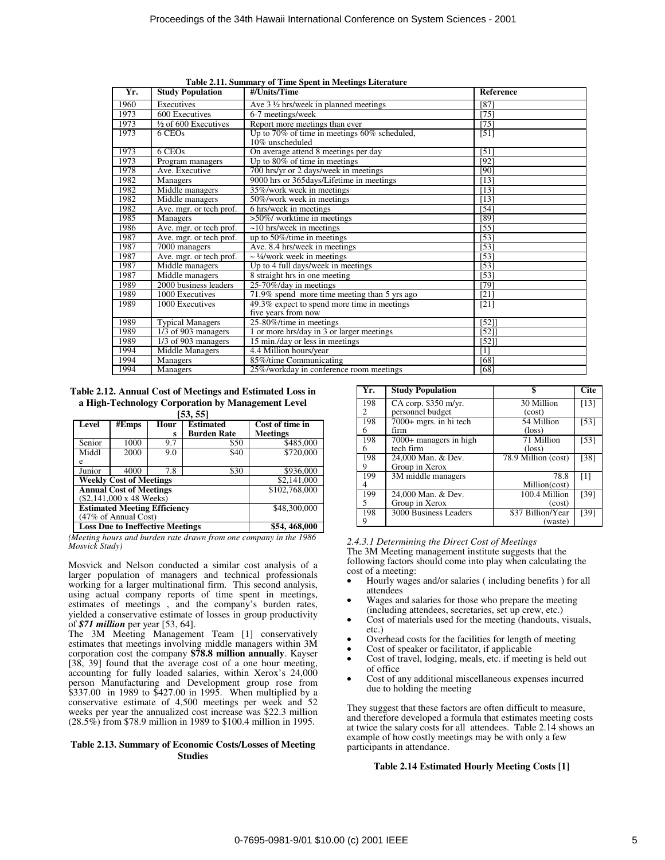| Yr.  | <b>Study Population</b>         | #/Units/Time                                                       | <b>Reference</b> |
|------|---------------------------------|--------------------------------------------------------------------|------------------|
| 1960 | Executives                      | Ave $3\frac{1}{2}$ hrs/week in planned meetings                    | [87]             |
| 1973 | 600 Executives                  | 6-7 meetings/week                                                  | $[75]$           |
| 1973 | $\frac{1}{2}$ of 600 Executives | Report more meetings than ever                                     | [75]             |
| 1973 | 6 CEO <sub>s</sub>              | Up to 70% of time in meetings 60% scheduled,<br>$10\%$ unscheduled | [51]             |
| 1973 | 6 CEO <sub>s</sub>              | On average attend 8 meetings per day                               | [51]             |
| 1973 | Program managers                | Up to $80\%$ of time in meetings                                   | [92]             |
| 1978 | Ave. Executive                  | 700 hrs/yr or 2 days/week in meetings                              | [90]             |
| 1982 | Managers                        | 9000 hrs or 365days/Lifetime in meetings                           | [13]             |
| 1982 | Middle managers                 | 35%/work week in meetings                                          | [13]             |
| 1982 | Middle managers                 | 50%/work week in meetings                                          | [13]             |
| 1982 | Ave. mgr. or tech prof.         | 6 hrs/week in meetings                                             | [54]             |
| 1985 | Managers                        | $>50\%$ / worktime in meetings                                     | [89]             |
| 1986 | Ave. mgr. or tech prof.         | $\sim$ 10 hrs/week in meetings                                     | [55]             |
| 1987 | Ave. mgr. or tech prof.         | up to 50%/time in meetings                                         | $\overline{53}$  |
| 1987 | 7000 managers                   | Ave. 8.4 hrs/week in meetings                                      | [53]             |
| 1987 | Ave. mgr. or tech prof.         | $\sim$ ¼/work week in meetings                                     | $\overline{53}$  |
| 1987 | Middle managers                 | Up to 4 full days/week in meetings                                 | 53]              |
| 1987 | Middle managers                 | 8 straight hrs in one meeting                                      | [53]             |
| 1989 | 2000 business leaders           | $25-70\%$ /day in meetings                                         | $[79]$           |
| 1989 | 1000 Executives                 | 71.9% spend more time meeting than 5 yrs ago                       | $\overline{211}$ |
| 1989 | 1000 Executives                 | 49.3% expect to spend more time in meetings<br>five years from now | [21]             |
| 1989 | <b>Typical Managers</b>         | 25-80%/time in meetings                                            | [52]             |
| 1989 | 1/3 of 903 managers             | 1 or more hrs/day in $\overline{3}$ or larger meetings             | [52]             |
| 1989 | 1/3 of 903 managers             | 15 min./day or less in meetings                                    | [52]             |
| 1994 | Middle Managers                 | 4.4 Million hours/year                                             | [1]              |
| 1994 | Managers                        | 85%/time Communicating                                             | $\overline{681}$ |
| 1994 | Managers                        | 25%/workday in conference room meetings                            | [68]             |

**Table 2.11. Summary of Time Spent in Meetings Literature** 

**Table 2.12. Annual Cost of Meetings and Estimated Loss in a High-Technology Corporation by Management Level** 

|--|--|

| Level                               | #Emps                                   | Hour          | <b>Estimated</b>   | Cost of time in |
|-------------------------------------|-----------------------------------------|---------------|--------------------|-----------------|
|                                     |                                         | s             | <b>Burden Rate</b> | <b>Meetings</b> |
| Senior                              | 1000                                    | 9.7           | \$50               | \$485,000       |
| Middl                               | 2000                                    | 9.0           | \$40               | \$720,000       |
| e                                   |                                         |               |                    |                 |
| Junior                              | 4000                                    | 7.8           | \$30               | \$936,000       |
| <b>Weekly Cost of Meetings</b>      |                                         |               | \$2,141,000        |                 |
| <b>Annual Cost of Meetings</b>      |                                         | \$102,768,000 |                    |                 |
|                                     | $($2,141,000 \times 48 \text{ weeks})$  |               |                    |                 |
| <b>Estimated Meeting Efficiency</b> |                                         |               | \$48,300,000       |                 |
| (47% of Annual Cost)                |                                         |               |                    |                 |
|                                     | <b>Loss Due to Ineffective Meetings</b> |               |                    | \$54, 468,000   |

*(Meeting hours and burden rate drawn from one company in the 1986 Mosvick Study)* 

Mosvick and Nelson conducted a similar cost analysis of a larger population of managers and technical professionals working for a larger multinational firm. This second analysis, using actual company reports of time spent in meetings, estimates of meetings , and the company's burden rates, yielded a conservative estimate of losses in group productivity of *\$71 million* per year [53, 64].

The 3M Meeting Management Team [1] conservatively estimates that meetings involving middle managers within 3M corporation cost the company **\$78.8 million annually**. Kayser [38, 39] found that the average cost of a one hour meeting, accounting for fully loaded salaries, within Xerox's 24,000 person Manufacturing and Development group rose from \$337.00 in 1989 to \$427.00 in 1995. When multiplied by a conservative estimate of 4,500 meetings per week and 52 weeks per year the annualized cost increase was \$22.3 million (28.5%) from \$78.9 million in 1989 to \$100.4 million in 1995.

### **Table 2.13. Summary of Economic Costs/Losses of Meeting Studies**

| Yr. | <b>Study Population</b> | \$                  | <b>Cite</b> |
|-----|-------------------------|---------------------|-------------|
| 198 | CA corp. $$350$ m/yr.   | 30 Million          | [13]        |
| 2   | personnel budget        | (cost)              |             |
| 198 | 7000+ mgrs. in hi tech  | 54 Million          | [53]        |
| 6   | firm                    | $(\text{loss})$     |             |
| 198 | 7000+ managers in high  | 71 Million          | [53]        |
| 6   | tech firm               | $(\text{loss})$     |             |
| 198 | 24,000 Man. & Dev.      | 78.9 Million (cost) | [38]        |
| 9   | Group in Xerox          |                     |             |
| 199 | 3M middle managers      | 78.8                | [1]         |
| 4   |                         | Million(cost)       |             |
| 199 | 24,000 Man. & Dev.      | 100.4 Million       | [39]        |
| 5   | Group in Xerox          | (cost)              |             |
| 198 | 3000 Business Leaders   | \$37 Billion/Year   | [39]        |
|     |                         | (waste)             |             |

*2.4.3.1 Determining the Direct Cost of Meetings* 

The 3M Meeting management institute suggests that the following factors should come into play when calculating the cost of a meeting:

- Hourly wages and/or salaries ( including benefits ) for all attendees
- Wages and salaries for those who prepare the meeting (including attendees, secretaries, set up crew, etc.)
- Cost of materials used for the meeting (handouts, visuals, etc.)
- Overhead costs for the facilities for length of meeting
- Cost of speaker or facilitator, if applicable
- Cost of travel, lodging, meals, etc. if meeting is held out of office
- Cost of any additional miscellaneous expenses incurred due to holding the meeting

They suggest that these factors are often difficult to measure, and therefore developed a formula that estimates meeting costs at twice the salary costs for all attendees. Table 2.14 shows an example of how costly meetings may be with only a few participants in attendance.

### **Table 2.14 Estimated Hourly Meeting Costs [1]**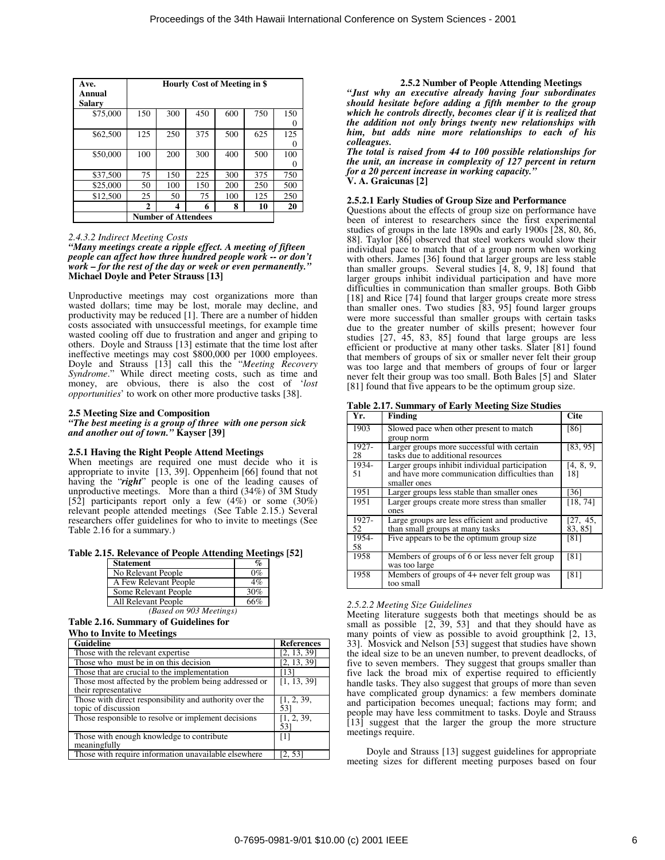| Ave.<br>Annual | <b>Hourly Cost of Meeting in \$</b> |                            |     |     |     |          |
|----------------|-------------------------------------|----------------------------|-----|-----|-----|----------|
| Salary         |                                     |                            |     |     |     |          |
| \$75,000       | 150                                 | 300                        | 450 | 600 | 750 | 150      |
|                |                                     |                            |     |     |     | $\theta$ |
| \$62,500       | 125                                 | 250                        | 375 | 500 | 625 | 125      |
|                |                                     |                            |     |     |     |          |
| \$50,000       | 100                                 | 200                        | 300 | 400 | 500 | 100      |
|                |                                     |                            |     |     |     |          |
| \$37,500       | 75                                  | 150                        | 225 | 300 | 375 | 750      |
| \$25,000       | 50                                  | 100                        | 150 | 200 | 250 | 500      |
| \$12,500       | 25                                  | 50                         | 75  | 100 | 125 | 250      |
|                | 2                                   | 4                          | 6   | 8   | 10  | 20       |
|                |                                     | <b>Number of Attendees</b> |     |     |     |          |

### *2.4.3.2 Indirect Meeting Costs*

*"Many meetings create a ripple effect. A meeting of fifteen people can affect how three hundred people work -- or don't work – for the rest of the day or week or even permanently."*  **Michael Doyle and Peter Strauss [13]** 

Unproductive meetings may cost organizations more than wasted dollars; time may be lost, morale may decline, and productivity may be reduced [1]. There are a number of hidden costs associated with unsuccessful meetings, for example time wasted cooling off due to frustration and anger and griping to others. Doyle and Strauss [13] estimate that the time lost after ineffective meetings may cost \$800,000 per 1000 employees. Doyle and Strauss [13] call this the "*Meeting Recovery Syndrome*." While direct meeting costs, such as time and money, are obvious, there is also the cost of '*lost opportunities*' to work on other more productive tasks [38].

#### **2.5 Meeting Size and Composition**

*"The best meeting is a group of three with one person sick and another out of town."* **Kayser [39]**

### **2.5.1 Having the Right People Attend Meetings**

When meetings are required one must decide who it is appropriate to invite [13, 39]. Oppenheim [66] found that not having the "*right*" people is one of the leading causes of unproductive meetings. More than a third (34%) of 3M Study [52] participants report only a few (4%) or some (30%) relevant people attended meetings (See Table 2.15.) Several researchers offer guidelines for who to invite to meetings (See Table 2.16 for a summary.)

**Table 2.15. Relevance of People Attending Meetings [52]** 

| <b>Statement</b>        | $\%$ |
|-------------------------|------|
| No Relevant People      | 0%   |
| A Few Relevant People   | 4%   |
| Some Relevant People    | 30%  |
| All Relevant People     | 66%  |
| (Based on 903 Meetings) |      |

**Table 2.16. Summary of Guidelines for** 

# **Who to Invite to Meetings**

| Guideline                                               | <b>References</b> |
|---------------------------------------------------------|-------------------|
| Those with the relevant expertise                       | [2, 13, 39]       |
| Those who must be in on this decision                   | [2, 13, 39]       |
| Those that are crucial to the implementation            | [13]              |
| Those most affected by the problem being addressed or   | [1, 13, 39]       |
| their representative                                    |                   |
| Those with direct responsibility and authority over the | [1, 2, 39,        |
| topic of discussion                                     | 531               |
| Those responsible to resolve or implement decisions     | [1, 2, 39,        |
|                                                         | 53                |
| Those with enough knowledge to contribute               | [1]               |
| meaningfully                                            |                   |
| Those with require information unavailable elsewhere    | [2, 53]           |

### **2.5.2 Number of People Attending Meetings**

*"Just why an executive already having four subordinates should hesitate before adding a fifth member to the group which he controls directly, becomes clear if it is realized that the addition not only brings twenty new relationships with him, but adds nine more relationships to each of his colleagues.* 

*The total is raised from 44 to 100 possible relationships for the unit, an increase in complexity of 127 percent in return for a 20 percent increase in working capacity."*  **V. A. Graicunas [2]** 

### **2.5.2.1 Early Studies of Group Size and Performance**

Questions about the effects of group size on performance have been of interest to researchers since the first experimental studies of groups in the late 1890s and early 1900s [28, 80, 86, 88]. Taylor [86] observed that steel workers would slow their individual pace to match that of a group norm when working with others. James [36] found that larger groups are less stable than smaller groups. Several studies  $[4, 8, 9, 18]$  found that larger groups inhibit individual participation and have more difficulties in communication than smaller groups. Both Gibb [18] and Rice [74] found that larger groups create more stress than smaller ones. Two studies [83, 95] found larger groups were more successful than smaller groups with certain tasks due to the greater number of skills present; however four studies [27, 45, 83, 85] found that large groups are less efficient or productive at many other tasks. Slater [81] found that members of groups of six or smaller never felt their group was too large and that members of groups of four or larger never felt their group was too small. Both Bales [5] and Slater [81] found that five appears to be the optimum group size.

### **Table 2.17. Summary of Early Meeting Size Studies**

| Yr.         | Finding                                                                                                         | <b>Cite</b>         |
|-------------|-----------------------------------------------------------------------------------------------------------------|---------------------|
| 1903        | Slowed pace when other present to match<br>group norm                                                           | [86]                |
| 1927-<br>28 | Larger groups more successful with certain<br>tasks due to additional resources                                 | [83, 95]            |
| 1934-<br>51 | Larger groups inhibit individual participation<br>and have more communication difficulties than<br>smaller ones | [4, 8, 9,<br>181    |
| 1951        | Larger groups less stable than smaller ones                                                                     | [36]                |
| 1951        | Larger groups create more stress than smaller<br>ones                                                           | [18, 74]            |
| 1927-<br>52 | Large groups are less efficient and productive<br>than small groups at many tasks                               | [27, 45,<br>83, 85] |
| 1954-<br>58 | Five appears to be the optimum group size.                                                                      | [81]                |
| 1958        | Members of groups of 6 or less never felt group<br>was too large                                                | [81]                |
| 1958        | Members of groups of 4+ never felt group was<br>too small                                                       | [81]                |

#### *2.5.2.2 Meeting Size Guidelines*

Meeting literature suggests both that meetings should be as small as possible [2, 39, 53] and that they should have as many points of view as possible to avoid groupthink [2, 13, 33]. Mosvick and Nelson [53] suggest that studies have shown the ideal size to be an uneven number, to prevent deadlocks, of five to seven members. They suggest that groups smaller than five lack the broad mix of expertise required to efficiently handle tasks. They also suggest that groups of more than seven have complicated group dynamics: a few members dominate and participation becomes unequal; factions may form; and people may have less commitment to tasks. Doyle and Strauss [13] suggest that the larger the group the more structure meetings require.

Doyle and Strauss [13] suggest guidelines for appropriate meeting sizes for different meeting purposes based on four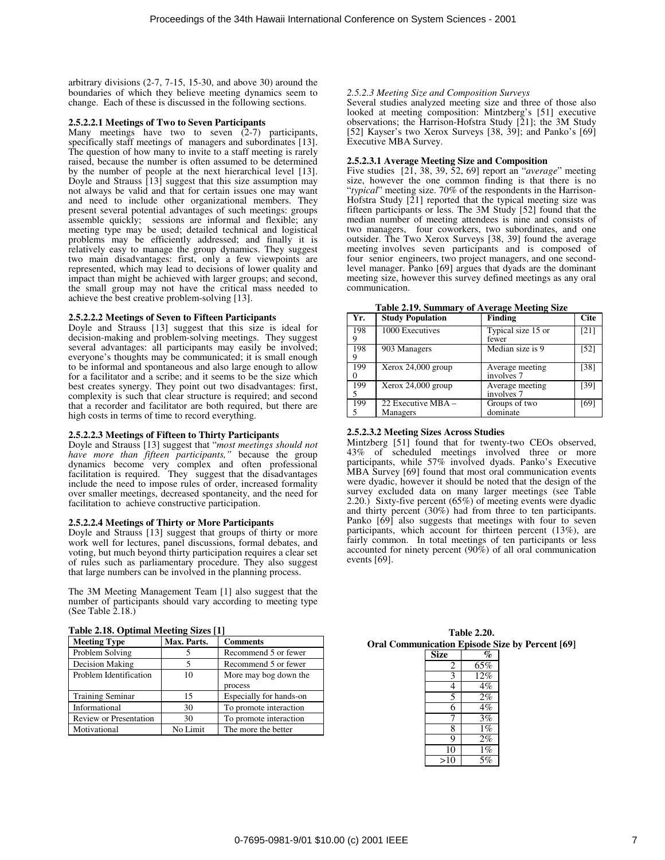arbitrary divisions (2-7, 7-15, 15-30, and above 30) around the boundaries of which they believe meeting dynamics seem to change. Each of these is discussed in the following sections.

### **2.5.2.2.1 Meetings of Two to Seven Participants**

Many meetings have two to seven (2-7) participants, specifically staff meetings of managers and subordinates [13]. The question of how many to invite to a staff meeting is rarely raised, because the number is often assumed to be determined by the number of people at the next hierarchical level [13]. Doyle and Strauss [13] suggest that this size assumption may not always be valid and that for certain issues one may want and need to include other organizational members. They present several potential advantages of such meetings: groups assemble quickly; sessions are informal and flexible; any meeting type may be used; detailed technical and logistical problems may be efficiently addressed; and finally it is relatively easy to manage the group dynamics. They suggest two main disadvantages: first, only a few viewpoints are represented, which may lead to decisions of lower quality and impact than might be achieved with larger groups; and second, the small group may not have the critical mass needed to achieve the best creative problem-solving [13].

### **2.5.2.2.2 Meetings of Seven to Fifteen Participants**

Doyle and Strauss [13] suggest that this size is ideal for decision-making and problem-solving meetings. They suggest several advantages: all participants may easily be involved; everyone's thoughts may be communicated; it is small enough to be informal and spontaneous and also large enough to allow for a facilitator and a scribe; and it seems to be the size which best creates synergy. They point out two disadvantages: first, complexity is such that clear structure is required; and second that a recorder and facilitator are both required, but there are high costs in terms of time to record everything.

### **2.5.2.2.3 Meetings of Fifteen to Thirty Participants**

Doyle and Strauss [13] suggest that "*most meetings should not have more than fifteen participants,"* because the group dynamics become very complex and often professional facilitation is required. They suggest that the disadvantages include the need to impose rules of order, increased formality over smaller meetings, decreased spontaneity, and the need for facilitation to achieve constructive participation.

### **2.5.2.2.4 Meetings of Thirty or More Participants**

Doyle and Strauss [13] suggest that groups of thirty or more work well for lectures, panel discussions, formal debates, and voting, but much beyond thirty participation requires a clear set of rules such as parliamentary procedure. They also suggest that large numbers can be involved in the planning process.

The 3M Meeting Management Team [1] also suggest that the number of participants should vary according to meeting type (See Table 2.18.)

| Table 2.18. Optimal Meeting Sizes [1] |  |  |
|---------------------------------------|--|--|
|---------------------------------------|--|--|

| <b>Meeting Type</b>           | Max. Parts. | <b>Comments</b>         |  |
|-------------------------------|-------------|-------------------------|--|
| Problem Solving               |             | Recommend 5 or fewer    |  |
| Decision Making               |             | Recommend 5 or fewer    |  |
| Problem Identification        | 10          | More may bog down the   |  |
|                               |             | process                 |  |
| <b>Training Seminar</b>       | 15          | Especially for hands-on |  |
| Informational                 | 30          | To promote interaction  |  |
| <b>Review or Presentation</b> | 30          | To promote interaction  |  |
| Motivational                  | No Limit    | The more the better     |  |

### *2.5.2.3 Meeting Size and Composition Surveys*

Several studies analyzed meeting size and three of those also looked at meeting composition: Mintzberg's [51] executive observations; the Harrison-Hofstra Study [21]; the 3M Study [52] Kayser's two Xerox Surveys [38, 39]; and Panko's [69] Executive MBA Survey.

### **2.5.2.3.1 Average Meeting Size and Composition**

Five studies [21, 38, 39, 52, 69] report an "*average*" meeting size, however the one common finding is that there is no "*typical*" meeting size. 70% of the respondents in the Harrison-Hofstra Study [21] reported that the typical meeting size was fifteen participants or less. The 3M Study [52] found that the median number of meeting attendees is nine and consists of two managers, four coworkers, two subordinates, and one outsider. The Two Xerox Surveys [38, 39] found the average meeting involves seven participants and is composed of four senior engineers, two project managers, and one secondlevel manager. Panko [69] argues that dyads are the dominant meeting size, however this survey defined meetings as any oral communication.

| Yr. | <b>Study Population</b>        | <b>Finding</b>                | <b>Cite</b> |
|-----|--------------------------------|-------------------------------|-------------|
| 198 | 1000 Executives                | Typical size 15 or<br>fewer   | [21]        |
| 198 | 903 Managers                   | Median size is 9              | [52]        |
| 199 | Xerox $24,000$ group           | Average meeting<br>involves 7 | [38]        |
| 199 | Xerox $24,000$ group           | Average meeting<br>involves 7 | [39]        |
| 199 | 22 Executive MBA -<br>Managers | Groups of two<br>dominate     | [69]        |

**Table 2.19. Summary of Average Meeting Size** 

### **2.5.2.3.2 Meeting Sizes Across Studies**

Mintzberg [51] found that for twenty-two CEOs observed, 43% of scheduled meetings involved three or more participants, while 57% involved dyads. Panko's Executive MBA Survey [69] found that most oral communication events were dyadic, however it should be noted that the design of the survey excluded data on many larger meetings (see Table 2.20.) Sixty-five percent (65%) of meeting events were dyadic and thirty percent (30%) had from three to ten participants. Panko  $[69]$  also suggests that meetings with four to seven participants, which account for thirteen percent (13%), are fairly common. In total meetings of ten participants or less accounted for ninety percent (90%) of all oral communication events [69].

|      | <b>Table 2.20.</b>          |                                                        |
|------|-----------------------------|--------------------------------------------------------|
|      |                             | <b>Oral Communication Episode Size by Percent [69]</b> |
| Size | $\mathcal{O}_{\mathcal{O}}$ |                                                        |

| <b>Size</b>    | %     |
|----------------|-------|
| $\frac{2}{3}$  | 65%   |
|                | 12%   |
| $\overline{4}$ | 4%    |
| 5              | 2%    |
| 6              | 4%    |
| 7              | 3%    |
| $\overline{8}$ | 1%    |
| ğ              | 2%    |
| 10             | $1\%$ |
| >10            | 5%    |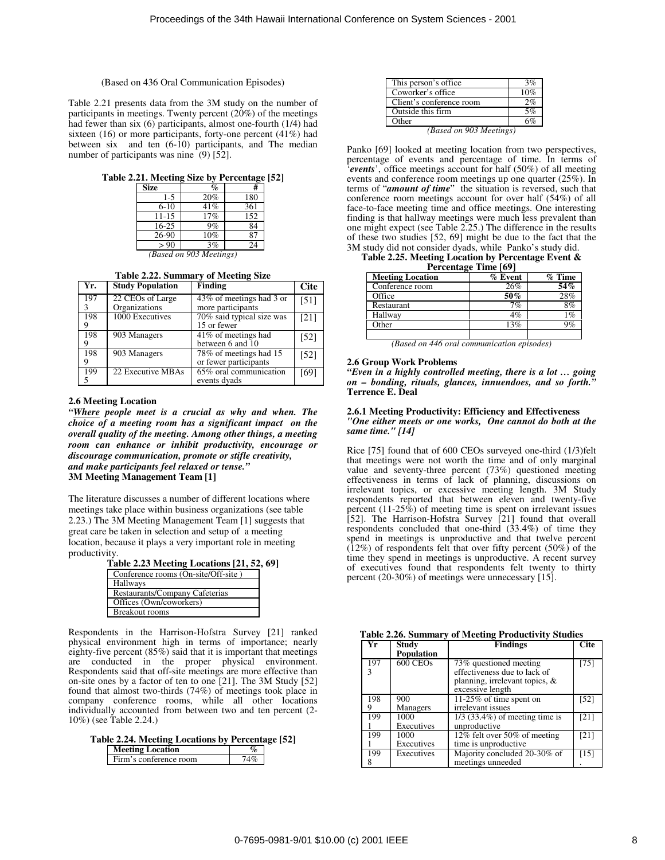#### (Based on 436 Oral Communication Episodes)

Table 2.21 presents data from the 3M study on the number of participants in meetings. Twenty percent (20%) of the meetings had fewer than six (6) participants, almost one-fourth (1/4) had sixteen (16) or more participants, forty-one percent  $(41\%)$  had between six and ten (6-10) participants, and The median number of participants was nine (9) [52].

### **Table 2.21. Meeting Size by Percentage [52]**

| <b>Size</b>             | $\mathcal{G}_0$ | #   |
|-------------------------|-----------------|-----|
| $1 - 5$                 | 20%             | 180 |
| $6-10$                  | 41%             | 361 |
| $11 - 15$               | 17%             | 152 |
| $16 - 25$               | 9%              | 84  |
| 26-90                   | 10%             | 87  |
| > 90                    | 3%              | 24  |
| (Based on 903 Meetings) |                 |     |

**Table 2.22. Summary of Meeting Size** 

| Yr.      | <b>Study Population</b>           | <b>Finding</b>                                  | <b>Cite</b> |
|----------|-----------------------------------|-------------------------------------------------|-------------|
| 197<br>3 | 22 CEOs of Large<br>Organizations | 43% of meetings had 3 or<br>more participants   | [51]        |
| 198      | 1000 Executives                   | 70% said typical size was<br>15 or fewer        | [21]        |
| 198      | 903 Managers                      | 41% of meetings had<br>between 6 and 10         | [52]        |
| 198      | 903 Managers                      | 78% of meetings had 15<br>or fewer participants | [52]        |
| 199      | 22 Executive MBAs                 | 65% oral communication<br>events dyads          | [69]        |

### **2.6 Meeting Location**

*"Where people meet is a crucial as why and when. The choice of a meeting room has a significant impact on the overall quality of the meeting. Among other things, a meeting room can enhance or inhibit productivity, encourage or discourage communication, promote or stifle creativity, and make participants feel relaxed or tense."*  **3M Meeting Management Team [1]** 

The literature discusses a number of different locations where meetings take place within business organizations (see table 2.23.) The 3M Meeting Management Team [1] suggests that great care be taken in selection and setup of a meeting location, because it plays a very important role in meeting productivity.

| Table 2.23 Meeting Locations [21, 52, 69] |  |  |
|-------------------------------------------|--|--|
| Conference rooms (On-site/Off-site)       |  |  |
| Hallways                                  |  |  |
| Restaurants/Company Cafeterias            |  |  |
| Offices (Own/coworkers)                   |  |  |
| <b>Breakout rooms</b>                     |  |  |

Respondents in the Harrison-Hofstra Survey [21] ranked physical environment high in terms of importance; nearly eighty-five percent (85%) said that it is important that meetings are conducted in the proper physical environment. Respondents said that off-site meetings are more effective than on-site ones by a factor of ten to one [21]. The 3M Study [52] found that almost two-thirds (74%) of meetings took place in company conference rooms, while all other locations individually accounted from between two and ten percent (2- 10%) (see Table 2.24.)

| Table 2.24. Meeting Locations by Percentage [52] |  |  |
|--------------------------------------------------|--|--|
|--------------------------------------------------|--|--|

| <b>Meeting Location</b> | %   |
|-------------------------|-----|
| Firm's conference room  | 74% |

| This person's office.    | 3%  |
|--------------------------|-----|
| Coworker's office        | 10% |
| Client's conference room | 2%  |
| Outside this firm        | 5%  |
| Other                    | 6%  |
|                          |     |

*(Based on 903 Meetings)* 

Panko [69] looked at meeting location from two perspectives, percentage of events and percentage of time. In terms of '*events*', office meetings account for half (50%) of all meeting events and conference room meetings up one quarter (25%). In terms of "*amount of time*" the situation is reversed, such that conference room meetings account for over half (54%) of all face-to-face meeting time and office meetings. One interesting finding is that hallway meetings were much less prevalent than one might expect (see Table 2.25.) The difference in the results of these two studies [52, 69] might be due to the fact that the 3M study did not consider dyads, while Panko's study did.

**Table 2.25. Meeting Location by Percentage Event & Percentage Time [69]** 

| I CI CENTARE THUE 1071  |         |          |  |  |
|-------------------------|---------|----------|--|--|
| <b>Meeting Location</b> | % Event | $%$ Time |  |  |
| Conference room         | 26%     | 54%      |  |  |
| Office                  | 50%     | 28%      |  |  |
| Restaurant              | 7%      | 8%       |  |  |
| Hallway                 | 4%      | 1%       |  |  |
| Other                   | 13%     | 9%       |  |  |
|                         |         |          |  |  |

*(Based on 446 oral communication episodes)* 

### **2.6 Group Work Problems**

*"Even in a highly controlled meeting, there is a lot … going on – bonding, rituals, glances, innuendoes, and so forth."*  **Terrence E. Deal** 

**2.6.1 Meeting Productivity: Efficiency and Effectiveness**  *"One either meets or one works, One cannot do both at the same time." [14]* 

Rice [75] found that of 600 CEOs surveyed one-third (1/3)felt that meetings were not worth the time and of only marginal value and seventy-three percent (73%) questioned meeting effectiveness in terms of lack of planning, discussions on irrelevant topics, or excessive meeting length. 3M Study respondents reported that between eleven and twenty-five percent (11-25%) of meeting time is spent on irrelevant issues [52]. The Harrison-Hofstra Survey [21] found that overall respondents concluded that one-third (33.4%) of time they spend in meetings is unproductive and that twelve percent  $(12%)$  of respondents felt that over fifty percent  $(50%)$  of the time they spend in meetings is unproductive. A recent survey of executives found that respondents felt twenty to thirty percent (20-30%) of meetings were unnecessary [15].

| <b>Findings</b><br>Үr |                      |                                  | <b>Cite</b> |
|-----------------------|----------------------|----------------------------------|-------------|
|                       | <b>Study</b>         |                                  |             |
|                       | <b>Population</b>    |                                  |             |
| 197                   | 600 CEO <sub>s</sub> | 73% questioned meeting           | $[75]$      |
| 3                     |                      | effectiveness due to lack of     |             |
|                       |                      | planning, irrelevant topics, &   |             |
|                       |                      | excessive length                 |             |
| 198                   | 900                  | 11-25% of time spent on          | [52]        |
|                       | Managers             | irrelevant issues                |             |
| 199                   | 1000                 | $1/3$ (33.4%) of meeting time is | [21]        |
|                       | Executives           | unproductive                     |             |
| 199                   | 1000                 | 12% felt over 50% of meeting     | [21]        |
|                       | Executives           | time is unproductive.            |             |
| 199                   | Executives           | Majority concluded 20-30% of     | [15]        |
|                       |                      | meetings unneeded                |             |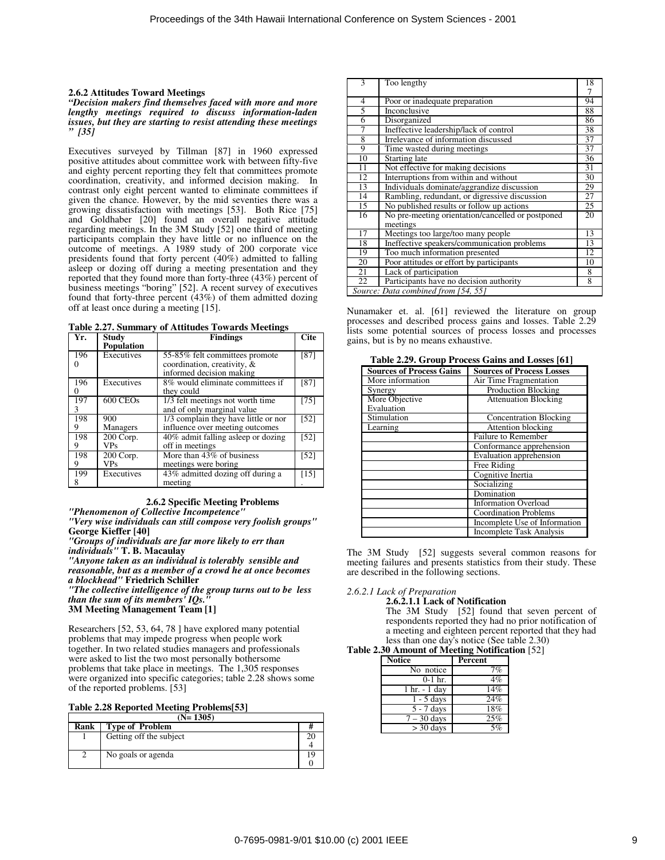### **2.6.2 Attitudes Toward Meetings**

*"Decision makers find themselves faced with more and more lengthy meetings required to discuss information-laden issues, but they are starting to resist attending these meetings " [35]* 

Executives surveyed by Tillman [87] in 1960 expressed positive attitudes about committee work with between fifty-five and eighty percent reporting they felt that committees promote coordination, creativity, and informed decision making. In contrast only eight percent wanted to eliminate committees if given the chance. However, by the mid seventies there was a growing dissatisfaction with meetings [53]. Both Rice [75] and Goldhaber [20] found an overall negative attitude regarding meetings. In the 3M Study [52] one third of meeting participants complain they have little or no influence on the outcome of meetings. A 1989 study of 200 corporate vice presidents found that forty percent (40%) admitted to falling asleep or dozing off during a meeting presentation and they reported that they found more than forty-three (43%) percent of business meetings "boring" [52]. A recent survey of executives found that forty-three percent (43%) of them admitted dozing off at least once during a meeting [15].

**Table 2.27. Summary of Attitudes Towards Meetings** 

| Yr. | Study                | <b>Findings</b>                      | <b>Cite</b> |
|-----|----------------------|--------------------------------------|-------------|
|     | <b>Population</b>    |                                      |             |
| 196 | Executives           | 55-85% felt committees promote       | [87]        |
|     |                      | coordination, creativity, $\&$       |             |
|     |                      | informed decision making             |             |
| 196 | Executives           | 8% would eliminate committees if     | [87]        |
|     |                      | they could                           |             |
| 197 | 600 CEO <sub>s</sub> | 1/3 felt meetings not worth time     | $[75]$      |
| 3   |                      | and of only marginal value           |             |
| 198 | 900                  | 1/3 complain they have little or nor | [52]        |
| 9   | Managers             | influence over meeting outcomes      |             |
| 198 | 200 Corp.            | 40% admit falling asleep or dozing   | [52]        |
| 9   | <b>VPs</b>           | off in meetings                      |             |
| 198 | $200$ Corp.          | More than $43\%$ of business         | $[52]$      |
| 9   | <b>VPs</b>           | meetings were boring                 |             |
| 199 | Executives           | 43% admitted dozing off during a     | $[15]$      |
|     |                      | meeting                              |             |

**2.6.2 Specific Meeting Problems**  *"Phenomenon of Collective Incompetence"* 

*"Very wise individuals can still compose very foolish groups"*  **George Kieffer [40]** 

*"Groups of individuals are far more likely to err than individuals"* **T. B. Macaulay** 

*"Anyone taken as an individual is tolerably sensible and reasonable, but as a member of a crowd he at once becomes a blockhead"* **Friedrich Schiller** 

*"The collective intelligence of the group turns out to be less than the sum of its members' IQs."* 

**3M Meeting Management Team [1]** 

Researchers [52, 53, 64, 78 ] have explored many potential problems that may impede progress when people work together. In two related studies managers and professionals were asked to list the two most personally bothersome problems that take place in meetings. The 1,305 responses were organized into specific categories; table 2.28 shows some of the reported problems. [53]

| $(N=1305)$ |                         |  |
|------------|-------------------------|--|
| Rank       | <b>Type of Problem</b>  |  |
|            | Getting off the subject |  |
|            | No goals or agenda      |  |

| 3  | Too lengthy                                       | 18 |
|----|---------------------------------------------------|----|
|    |                                                   | 7  |
| 4  | Poor or inadequate preparation                    | 94 |
| 5  | Inconclusive                                      | 88 |
| 6  | Disorganized                                      | 86 |
| 7  | Ineffective leadership/lack of control            | 38 |
| 8  | Irrelevance of information discussed              | 37 |
| 9  | Time wasted during meetings                       | 37 |
| 10 | Starting late                                     | 36 |
| 11 | Not effective for making decisions                | 31 |
| 12 | Interruptions from within and without             | 30 |
| 13 | Individuals dominate/aggrandize discussion        | 29 |
| 14 | Rambling, redundant, or digressive discussion     | 27 |
| 15 | No published results or follow up actions         | 25 |
| 16 | No pre-meeting orientation/cancelled or postponed | 20 |
|    | meetings                                          |    |
| 17 | Meetings too large/too many people                | 13 |
| 18 | Ineffective speakers/communication problems       | 13 |
| 19 | Too much information presented                    | 12 |
| 20 | Poor attitudes or effort by participants          | 10 |
| 21 | Lack of participation                             | 8  |
| 22 | Participants have no decision authority           | 8  |
|    | Source: Data combined from [54, 55]               |    |

Nunamaker et. al. [61] reviewed the literature on group processes and described process gains and losses. Table 2.29 lists some potential sources of process losses and processes gains, but is by no means exhaustive.

| <b>Sources of Process Gains</b> | <b>Sources of Process Losses</b> |
|---------------------------------|----------------------------------|
| More information                | Air Time Fragmentation           |
| Synergy                         | Production Blocking              |
| More Objective                  | <b>Attenuation Blocking</b>      |
| Evaluation                      |                                  |
| Stimulation                     | <b>Concentration Blocking</b>    |
| Learning                        | Attention blocking               |
|                                 | <b>Failure to Remember</b>       |
|                                 | Conformance apprehension         |
|                                 | Evaluation apprehension          |
|                                 | Free Riding                      |
|                                 | Cognitive Inertia                |
|                                 | Socializing                      |
|                                 | Domination                       |
|                                 | <b>Information Overload</b>      |
|                                 | <b>Coordination Problems</b>     |
|                                 | Incomplete Use of Information    |
|                                 | <b>Incomplete Task Analysis</b>  |

**Table 2.29. Group Process Gains and Losses [61]** 

The 3M Study [52] suggests several common reasons for meeting failures and presents statistics from their study. These are described in the following sections.

*2.6.2.1 Lack of Preparation* 

**2.6.2.1.1 Lack of Notification** 

The 3M Study [52] found that seven percent of respondents reported they had no prior notification of a meeting and eighteen percent reported that they had less than one day's notice (See table 2.30)

### **Table 2.30 Amount of Meeting Notification** [52]

| <b>Notice</b> | Percent         |  |
|---------------|-----------------|--|
| No notice     | 7%              |  |
| $0-1$ hr.     | 4%              |  |
| 1 hr. - 1 day | 14%             |  |
| 1 - 5 days    | 24%             |  |
| 5 - 7 days    | 18%             |  |
| $7 - 30$ days | 25%             |  |
| $>$ 30 days   | 50 <sub>c</sub> |  |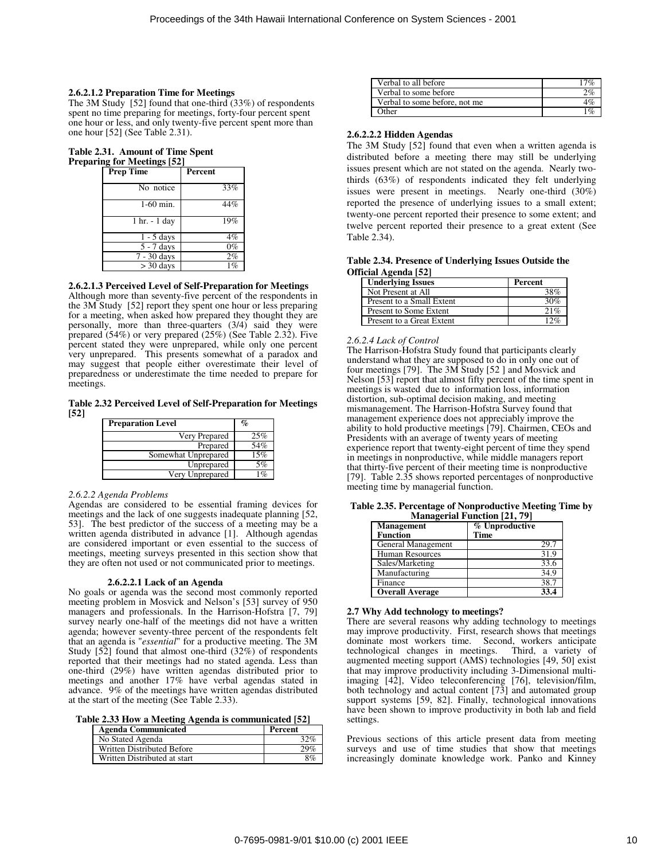### **2.6.2.1.2 Preparation Time for Meetings**

The 3M Study [52] found that one-third  $(33\%)$  of respondents spent no time preparing for meetings, forty-four percent spent one hour or less, and only twenty-five percent spent more than one hour [52] (See Table 2.31).

## **Table 2.31. Amount of Time Spent Preparing for Meetings [52]**

| <b>Prep Time</b>                     | Percent |
|--------------------------------------|---------|
| No notice                            | 33%     |
| $1-60$ min.                          | 44%     |
| $1 \text{ hr.} - 1 \text{ day}$      | 19%     |
| $\overline{1}$ - 5 days              | 4%      |
| $\overline{5}$ - $\overline{7}$ days | $0\%$   |
| $7 - 30$ days                        | 2%      |
| $>$ 30 days                          |         |

### **2.6.2.1.3 Perceived Level of Self-Preparation for Meetings**

Although more than seventy-five percent of the respondents in the 3M Study [52] report they spent one hour or less preparing for a meeting, when asked how prepared they thought they are personally, more than three-quarters (3/4) said they were prepared (54%) or very prepared (25%) (See Table 2.32). Five percent stated they were unprepared, while only one percent very unprepared. This presents somewhat of a paradox and may suggest that people either overestimate their level of preparedness or underestimate the time needed to prepare for meetings.

**Table 2.32 Perceived Level of Self-Preparation for Meetings [52]** 

| <b>Preparation Level</b> | $\%$ |
|--------------------------|------|
| Very Prepared            | 25%  |
| Prepared                 | 54%  |
| Somewhat Unprepared      | 15%  |
| Unprepared               | 5%   |
| Very Unprepared          | q    |

### *2.6.2.2 Agenda Problems*

Agendas are considered to be essential framing devices for meetings and the lack of one suggests inadequate planning [52, 53]. The best predictor of the success of a meeting may be a written agenda distributed in advance [1]. Although agendas are considered important or even essential to the success of meetings, meeting surveys presented in this section show that they are often not used or not communicated prior to meetings.

### **2.6.2.2.1 Lack of an Agenda**

No goals or agenda was the second most commonly reported meeting problem in Mosvick and Nelson's [53] survey of 950 managers and professionals. In the Harrison-Hofstra [7, 79] survey nearly one-half of the meetings did not have a written agenda; however seventy-three percent of the respondents felt that an agenda is "*essential*" for a productive meeting. The 3M Study [52] found that almost one-third (32%) of respondents reported that their meetings had no stated agenda. Less than one-third (29%) have written agendas distributed prior to meetings and another 17% have verbal agendas stated in advance. 9% of the meetings have written agendas distributed at the start of the meeting (See Table 2.33).

**Table 2.33 How a Meeting Agenda is communicated [52]** 

| <b>Agenda Communicated</b>   | Percent |
|------------------------------|---------|
| No Stated Agenda             | 32%     |
| Written Distributed Before   | 29%     |
| Written Distributed at start | 8%      |

| Verbal to all before          | 17%   |
|-------------------------------|-------|
| Verbal to some before         | 2%    |
| Verbal to some before, not me |       |
| <b>Other</b>                  | $1\%$ |

### **2.6.2.2.2 Hidden Agendas**

The 3M Study [52] found that even when a written agenda is distributed before a meeting there may still be underlying issues present which are not stated on the agenda. Nearly twothirds (63%) of respondents indicated they felt underlying issues were present in meetings. Nearly one-third (30%) reported the presence of underlying issues to a small extent; twenty-one percent reported their presence to some extent; and twelve percent reported their presence to a great extent (See Table 2.34).

### **Table 2.34. Presence of Underlying Issues Outside the Official Agenda [52]**

| <b>Underlying Issues</b>  | Percent |
|---------------------------|---------|
| Not Present at All        | 38%     |
| Present to a Small Extent | 30%     |
| Present to Some Extent    | 21%     |
| Present to a Great Extent |         |

### *2.6.2.4 Lack of Control*

The Harrison-Hofstra Study found that participants clearly understand what they are supposed to do in only one out of four meetings [79]. The 3M Study [52 ] and Mosvick and Nelson [53] report that almost fifty percent of the time spent in meetings is wasted due to information loss, information distortion, sub-optimal decision making, and meeting mismanagement. The Harrison-Hofstra Survey found that management experience does not appreciably improve the ability to hold productive meetings [79]. Chairmen, CEOs and Presidents with an average of twenty years of meeting experience report that twenty-eight percent of time they spend in meetings in nonproductive, while middle managers report that thirty-five percent of their meeting time is nonproductive [79]. Table 2.35 shows reported percentages of nonproductive meeting time by managerial function.

**Table 2.35. Percentage of Nonproductive Meeting Time by Managerial Function [21, 79]** 

| $\cdots$                             |                               |  |
|--------------------------------------|-------------------------------|--|
| <b>Management</b><br><b>Function</b> | % Unproductive<br><b>Time</b> |  |
| General Management                   | 29.7                          |  |
| <b>Human Resources</b>               | 31.9                          |  |
| Sales/Marketing                      | 33.6                          |  |
| Manufacturing                        | 34.9                          |  |
| Finance                              | 38.7                          |  |
| <b>Overall Average</b>               | 33.4                          |  |
|                                      |                               |  |

### **2.7 Why Add technology to meetings?**

There are several reasons why adding technology to meetings may improve productivity. First, research shows that meetings dominate most workers time. Second, workers anticipate technological changes in meetings. Third, a variety of augmented meeting support (AMS) technologies [49, 50] exist that may improve productivity including 3-Dimensional multiimaging [42], Video teleconferencing [76], television/film, both technology and actual content [73] and automated group support systems [59, 82]. Finally, technological innovations have been shown to improve productivity in both lab and field settings.

Previous sections of this article present data from meeting surveys and use of time studies that show that meetings increasingly dominate knowledge work. Panko and Kinney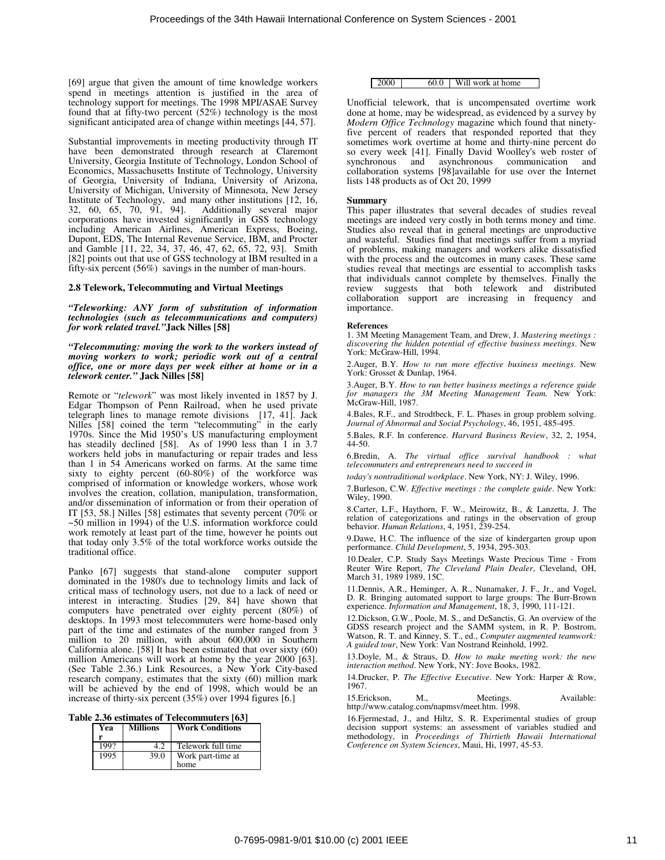[69] argue that given the amount of time knowledge workers spend in meetings attention is justified in the area of technology support for meetings. The 1998 MPI/ASAE Survey found that at fifty-two percent (52%) technology is the most significant anticipated area of change within meetings [44, 57].

Substantial improvements in meeting productivity through IT have been demonstrated through research at Claremont University, Georgia Institute of Technology, London School of Economics, Massachusetts Institute of Technology, University of Georgia, University of Indiana, University of Arizona, University of Michigan, University of Minnesota, New Jersey Institute of Technology, and many other institutions [12, 16, 32, 60, 65, 70, 91, 94]. Additionally several major corporations have invested significantly in GSS technology including American Airlines, American Express, Boeing, Dupont, EDS, The Internal Revenue Service, IBM, and Procter and Gamble [11, 22, 34, 37, 46, 47, 62, 65, 72, 93]. Smith [82] points out that use of GSS technology at IBM resulted in a fifty-six percent (56%) savings in the number of man-hours.

### **2.8 Telework, Telecommuting and Virtual Meetings**

*"Teleworking: ANY form of substitution of information technologies (such as telecommunications and computers) for work related travel."***Jack Nilles [58]** 

*"Telecommuting: moving the work to the workers instead of moving workers to work; periodic work out of a central office, one or more days per week either at home or in a telework center."* **Jack Nilles [58]** 

Remote or "*telework*" was most likely invented in 1857 by J. Edgar Thompson of Penn Railroad, when he used private telegraph lines to manage remote divisions [17, 41]. Jack Nilles [58] coined the term "telecommuting" in the early 1970s. Since the Mid 1950's US manufacturing employment has steadily declined [58]. As of 1990 less than 1 in 3.7 workers held jobs in manufacturing or repair trades and less than 1 in 54 Americans worked on farms. At the same time sixty to eighty percent (60-80%) of the workforce was comprised of information or knowledge workers, whose work involves the creation, collation, manipulation, transformation, and/or dissemination of information or from their operation of IT [53, 58.] Nilles [58] estimates that seventy percent (70% or ~50 million in 1994) of the U.S. information workforce could work remotely at least part of the time, however he points out that today only 3.5% of the total workforce works outside the traditional office.

Panko [67] suggests that stand-alone computer support dominated in the 1980's due to technology limits and lack of critical mass of technology users, not due to a lack of need or interest in interacting. Studies [29, 84] have shown that computers have penetrated over eighty percent (80%) of desktops. In 1993 most telecommuters were home-based only part of the time and estimates of the number ranged from 3 million to 20 million, with about 600,000 in Southern California alone. [58] It has been estimated that over sixty (60) million Americans will work at home by the year 2000 [63]. (See Table 2.36.) Link Resources, a New York City-based research company, estimates that the sixty (60) million mark will be achieved by the end of 1998, which would be an increase of thirty-six percent (35%) over 1994 figures [6.]

**Table 2.36 estimates of Telecommuters [63]** 

| Yea  | <b>Millions</b> | <b>Work Conditions</b> |
|------|-----------------|------------------------|
|      |                 |                        |
| 1992 | 42              | Telework full time     |
| 1995 | 39.0            | Work part-time at      |
|      |                 | home                   |

### 2000 60.0 Will work at home

Unofficial telework, that is uncompensated overtime work done at home, may be widespread, as evidenced by a survey by *Modern Office Technology* magazine which found that ninetyfive percent of readers that responded reported that they sometimes work overtime at home and thirty-nine percent do so every week [41]. Finally David Woolley's web roster of synchronous and asynchronous communication and synchronous and asynchronous communication and collaboration systems [98]available for use over the Internet lists 148 products as of Oct 20, 1999

#### **Summary**

This paper illustrates that several decades of studies reveal meetings are indeed very costly in both terms money and time. Studies also reveal that in general meetings are unproductive and wasteful. Studies find that meetings suffer from a myriad of problems, making managers and workers alike dissatisfied with the process and the outcomes in many cases. These same studies reveal that meetings are essential to accomplish tasks that individuals cannot complete by themselves. Finally the review suggests that both telework and distributed collaboration support are increasing in frequency and importance.

#### **References**

1. 3M Meeting Management Team, and Drew, J. *Mastering meetings : discovering the hidden potential of effective business meetings*. New York: McGraw-Hill, 1994.

2.Auger, B.Y. *How to run more effective business meetings*. New York: Grosset & Dunlap, 1964.

3.Auger, B.Y. *How to run better business meetings a reference guide for managers the 3M Meeting Management Team.* New York: McGraw-Hill, 1987.

4.Bales, R.F., and Strodtbeck, F. L. Phases in group problem solving. *Journal of Abnormal and Social Psychology*, 46, 1951, 485-495.

5.Bales, R.F. In conference. *Harvard Business Review*, 32, 2, 1954, 44-50.

6.Bredin, A. *The virtual office survival handbook : what telecommuters and entrepreneurs need to succeed in* 

*today's nontraditional workplace*. New York, NY: J. Wiley, 1996.

7.Burleson, C.W. *Effective meetings : the complete guide*. New York: Wiley, 1990.

8.Carter, L.F., Haythorn, F. W., Meirowitz, B., & Lanzetta, J. The relation of categorizations and ratings in the observation of group behavior. *Human Relations*, 4, 1951, 239-254.

9.Dawe, H.C. The influence of the size of kindergarten group upon performance. *Child Development*, 5, 1934, 295-303.

10.Dealer, C.P. Study Says Meetings Waste Precious Time - From Reuter Wire Report, *The Cleveland Plain Dealer*, Cleveland, OH, March 31, 1989 1989, 15C.

11.Dennis, A.R., Heminger, A. R., Nunamaker, J. F., Jr., and Vogel, D. R. Bringing automated support to large groups: The Burr-Brown experience. *Information and Management*, 18, 3, 1990, 111-121.

12.Dickson, G.W., Poole, M. S., and DeSanctis, G. An overview of the GDSS research project and the SAMM system, in R. P. Bostrom, Watson, R. T. and Kinney, S. T., ed., *Computer augmented teamwork: A guided tour*, New York: Van Nostrand Reinhold, 1992.

13.Doyle, M., & Straus, D. *How to make meeting work: the new interaction method*. New York, NY: Jove Books, 1982.

14.Drucker, P. *The Effective Executive*. New York: Harper & Row, 1967.

15.Erickson, M., Meetings. Available: http://www.catalog.com/napmsv/meet.htm. 1998.

16.Fjermestad, J., and Hiltz, S. R. Experimental studies of group decision support systems: an assessment of variables studied and methodology, in *Proceedings of Thirtieth Hawaii International Conference on System Sciences*, Maui, Hi, 1997, 45-53.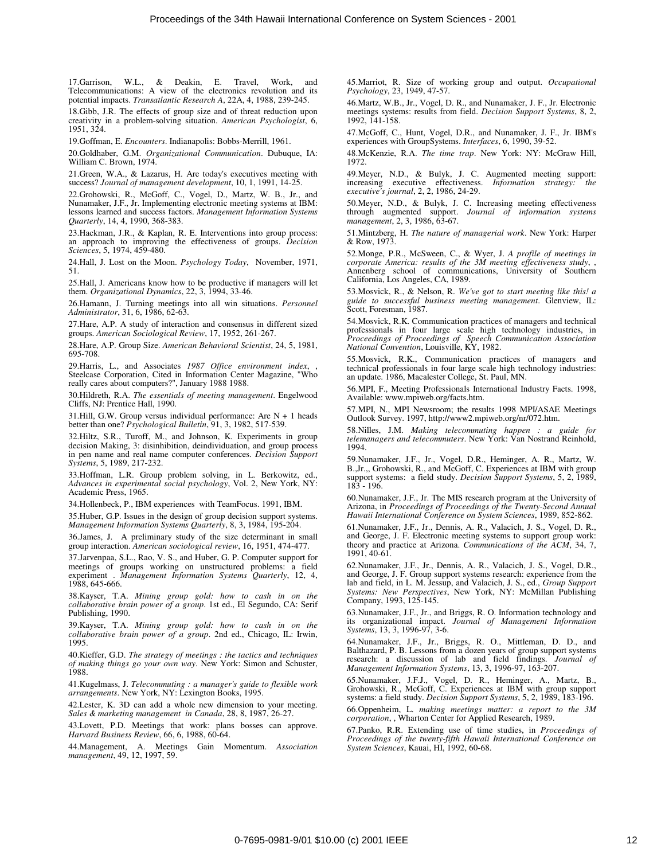17. Garrison, W.L., & Deakin, E. Travel, Work, Telecommunications: A view of the electronics revolution and its potential impacts. *Transatlantic Research A*, 22A, 4, 1988, 239-245.

18.Gibb, J.R. The effects of group size and of threat reduction upon creativity in a problem-solving situation. *American Psychologist*, 6, 1951, 324.

19.Goffman, E. *Encounters*. Indianapolis: Bobbs-Merrill, 1961.

20.Goldhaber, G.M. *Organizational Communication*. Dubuque, IA: William C. Brown, 1974.

21.Green, W.A., & Lazarus, H. Are today's executives meeting with success? *Journal of management development*, 10, 1, 1991, 14-25.

22.Grohowski, R., McGoff, C., Vogel, D., Martz, W. B., Jr., and Nunamaker, J.F., Jr. Implementing electronic meeting systems at IBM: lessons learned and success factors. *Management Information Systems Quarterly*, 14, 4, 1990, 368-383.

23.Hackman, J.R., & Kaplan, R. E. Interventions into group process: an approach to improving the effectiveness of groups. *Decision Sciences*, 5, 1974, 459-480.

24.Hall, J. Lost on the Moon. *Psychology Today*, November, 1971, 51.

25.Hall, J. Americans know how to be productive if managers will let them. *Organizational Dynamics*, 22, 3, 1994, 33-46.

26.Hamann, J. Turning meetings into all win situations. *Personnel Administrator*, 31, 6, 1986, 62-63.

27.Hare, A.P. A study of interaction and consensus in different sized groups. *American Sociological Review*, 17, 1952, 261-267.

28.Hare, A.P. Group Size. *American Behavioral Scientist*, 24, 5, 1981, 695-708.

29. Harris, L., and Associates 1987 Office environment index, Steelcase Corporation, Cited in Information Center Magazine, "Who really cares about computers?", January 1988 1988.

30.Hildreth, R.A. *The essentials of meeting management*. Engelwood Cliffs, NJ: Prentice Hall, 1990.

31.Hill, G.W. Group versus individual performance: Are  $N + 1$  heads better than one? *Psychological Bulletin*, 91, 3, 1982, 517-539.

32.Hiltz, S.R., Turoff, M., and Johnson, K. Experiments in group decision Making, 3: disinhibition, deindividuation, and group process in pen name and real name computer conferences. *Decision Support Systems*, 5, 1989, 217-232.

33.Hoffman, L.R. Group problem solving, in L. Berkowitz, ed., *Advances in experimental social psychology*, Vol. 2, New York, NY: Academic Press, 1965.

34.Hollenbeck, P., IBM experiences with TeamFocus. 1991, IBM.

35.Huber, G.P. Issues in the design of group decision support systems. *Management Information Systems Quarterly*, 8, 3, 1984, 195-204.

36.James, J. A preliminary study of the size determinant in small group interaction. *American sociological review*, 16, 1951, 474-477.

37.Jarvenpaa, S.L., Rao, V. S., and Huber, G. P. Computer support for meetings of groups working on unstructured problems: a field experiment . *Management Information Systems Quarterly*, 12, 4, 1988, 645-666.

38.Kayser, T.A. *Mining group gold: how to cash in on the collaborative brain power of a group*. 1st ed., El Segundo, CA: Serif Publishing, 1990.

39.Kayser, T.A. *Mining group gold: how to cash in on the collaborative brain power of a group*. 2nd ed., Chicago, IL: Irwin, 1995.

40.Kieffer, G.D. *The strategy of meetings : the tactics and techniques of making things go your own way*. New York: Simon and Schuster, 1988.

41.Kugelmass, J. *Telecommuting : a manager's guide to flexible work arrangements*. New York, NY: Lexington Books, 1995.

42.Lester, K. 3D can add a whole new dimension to your meeting. *Sales & marketing management in Canada*, 28, 8, 1987, 26-27.

43.Lovett, P.D. Meetings that work: plans bosses can approve. *Harvard Business Review*, 66, 6, 1988, 60-64.

44.Management, A. Meetings Gain Momentum. *Association management*, 49, 12, 1997, 59.

45.Marriot, R. Size of working group and output. *Occupational Psychology*, 23, 1949, 47-57.

46.Martz, W.B., Jr., Vogel, D. R., and Nunamaker, J. F., Jr. Electronic meetings systems: results from field. *Decision Support Systems*, 8, 2, 1992, 141-158.

47.McGoff, C., Hunt, Vogel, D.R., and Nunamaker, J. F., Jr. IBM's experiences with GroupSystems. *Interfaces*, 6, 1990, 39-52.

48.McKenzie, R.A. *The time trap*. New York: NY: McGraw Hill, 1972.

49.Meyer, N.D., & Bulyk, J. C. Augmented meeting support: increasing executive effectiveness. *Information strategy: executive's journal*, 2, 2, 1986, 24-29.

50.Meyer, N.D., & Bulyk, J. C. Increasing meeting effectiveness through augmented support. *Journal of information systems management*, 2, 3, 1986, 63-67.

51.Mintzberg, H. *The nature of managerial work*. New York: Harper & Row, 1973.

52.Monge, P.R., McSween, C., & Wyer, J. *A profile of meetings in corporate America: results of the 3M meeting effectiveness study*, , Annenberg school of communications, University of Southern California, Los Angeles, CA, 1989.

53.Mosvick, R., & Nelson, R. *We've got to start meeting like this! a guide to successful business meeting management*. Glenview, IL: Scott, Foresman, 1987.

54.Mosvick, R.K. Communication practices of managers and technical professionals in four large scale high technology industries, in *Proceedings of Proceedings of Speech Communication Association National Convention*, Louisville, KY, 1982.

55.Mosvick, R.K., Communication practices of managers and technical professionals in four large scale high technology industries: an update. 1986, Macalester College, St. Paul, MN.

56.MPI, F., Meeting Professionals International Industry Facts. 1998, Available: www.mpiweb.org/facts.htm.

57.MPI, N., MPI Newsroom; the results 1998 MPI/ASAE Meetings Outlook Survey. 1997, http://www2.mpiweb.org/nr/072.htm.

58.Nilles, J.M. *Making telecommuting happen : a guide for telemanagers and telecommuters*. New York: Van Nostrand Reinhold, 1994.

59.Nunamaker, J.F., Jr., Vogel, D.R., Heminger, A. R., Martz, W. B.,Jr.,, Grohowski, R., and McGoff, C. Experiences at IBM with group support systems: a field study. *Decision Support Systems*, 5, 2, 1989, 183 - 196.

60.Nunamaker, J.F., Jr. The MIS research program at the University of Arizona, in *Proceedings of Proceedings of the Twenty-Second Annual Hawaii International Conference on System Sciences*, 1989, 852-862.

61.Nunamaker, J.F., Jr., Dennis, A. R., Valacich, J. S., Vogel, D. R., and George, J. F. Electronic meeting systems to support group work: theory and practice at Arizona. *Communications of the ACM*, 34, 7, 1991, 40-61.

62.Nunamaker, J.F., Jr., Dennis, A. R., Valacich, J. S., Vogel, D.R., and George, J. F. Group support systems research: experience from the lab and field, in L. M. Jessup, and Valacich, J. S., ed., *Group Support Systems: New Perspectives*, New York, NY: McMillan Publishing Company, 1993, 125-145.

63.Nunamaker, J.F., Jr., and Briggs, R. O. Information technology and its organizational impact. *Journal of Management Information Systems*, 13, 3, 1996-97, 3-6.

64.Nunamaker, J.F., Jr., Briggs, R. O., Mittleman, D. D., and Balthazard, P. B. Lessons from a dozen years of group support systems research: a discussion of lab and field findings. *Journal of Management Information Systems*, 13, 3, 1996-97, 163-207.

65.Nunamaker, J.F.J., Vogel, D. R., Heminger, A., Martz, B., Grohowski, R., McGoff, C. Experiences at IBM with group support systems: a field study. *Decision Support Systems*, 5, 2, 1989, 183-196.

66.Oppenheim, L. *making meetings matter: a report to the 3M corporation*, , Wharton Center for Applied Research, 1989.

67.Panko, R.R. Extending use of time studies, in *Proceedings of Proceedings of the twenty-fifth Hawaii International Conference on System Sciences*, Kauai, HI, 1992, 60-68.